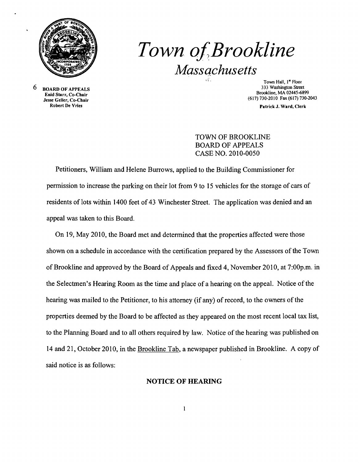

# Town of Brookline *Massachusetts*

6 BOARD OF APPEALS Enid Starr, Co-Chair Jesse Geller, Co-Chair

Town Hall, 1st Floor 333 Washington Street Brookline, MA 02445-6899 (617) 730·2010 Fax (617) 730-2043

Patrick J. Ward, Clerk

TOWN OF BROOKLINE BOARD OF APPEALS CASE NO. 2010-0050

Petitioners, William and Helene Burrows, applied to the Building Commissioner for permission to increase the parking on their lot from 9 to 15 vehicles for the storage of cars of residents of lots within 1400 feet of 43 Winchester Street. The application was denied and an appeal was taken to this Board.

On 19, May 2010, the Board met and determined that the properties affected were those shown on a schedule in accordance with the certification prepared by the Assessors of the Town of Brookline and approved by the Board of Appeals and fixed 4, November 2010, at 7:00p.m. in the Selectmen's Hearing Room as the time and place ofa hearing on the appeal. Notice of the hearing was mailed to the Petitioner, to his attorney (if any) of record, to the owners of the properties deemed by the Board to be affected as they appeared on the most recent local tax list, to the Planning Board and to all others required by law. Notice of the hearing was published on 14 and 21, October 2010, in the Brookline Tab, a newspaper published in Brookline. A copy of said notice is as follows:

#### NOTICE OF HEARING

 $\mathbf{1}$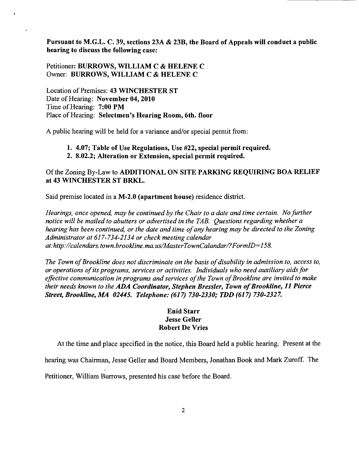Pursuant to M.G.L. C. 39, sections 23A & 23B, the Board of Appeals will conduct a public hearing to discuss the following case:

Petitioner: BURROWS, WILLIAM C & HELENE C Owner: BURROWS, WILLIAM C & HELENE C

Location of Premises: 43 WINCHESTER ST Date of Hearing: November 04, 2010 Time of Hearing: 7:00 PM Place of Hearing: Selectmen's Hearing Room, 6th. floor

A public hearing will be held for a variance and/or special permit from:

## 1. 4.07; Table of Use Regulations, Use #22, special permit required.

2. 8.02.2; Alteration or Extension, special permit required.

### Of the Zoning By-Law to ADDITIONAL ON SITE PARKING REQUIRING BOA RELIEF at 43 WINCHESTER ST BRKL.

Said premise located in a M-2.0 (apartment house) residence district.

*Hearings, once opened, may be continued by the Chair to a date and time certain. No further notice will be mailed to abutters or advertised in the TAB. Questions regarding whether a hearing has been continued, or the date and time ofany hearing may be directed to the Zoning Administrator at* 617-734-2134 *or check meeting calendar at:http://calendars.town.brookline.ma.usIMasterTownCalandarl?FormID=158.* 

*The Town of Brookline does not discriminate on the basis of disability in admission to, access to, or operations ofits programs, services or activities. Individuals who need auxiliary aids for*  effective communication in programs and services of the Town of Brookline are invited to make *their needs known to the ADA Coordinator, Stephen Bressler, Town of Brookline, 11 Pierce Street, Brookline, MA 02445. Telephone:* (617) *730-2330; TDD* (617) *730-2327.* 

### Enid Starr Jesse Geller Robert De Vries

At the time and place specified in the notice, this Board held a public hearing. Present at the

hearing was Chairman, Jesse Geller and Board Members, Jonathan Book and Mark Zuroff. The

Petitioner, William Burrows, presented his case before the Board.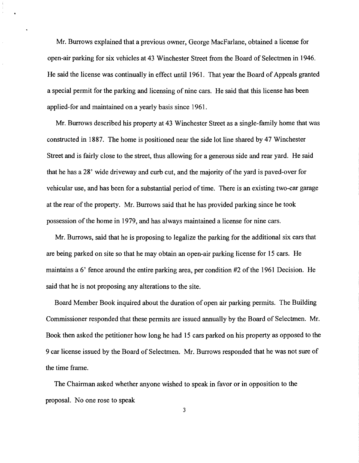Mr. Burrows explained that a previous owner, George MacFarlane, obtained a license for open-air parking for six vehicles at 43 Winchester Street from the Board of Selectmen in 1946. He said the license was continually in effect until 1961. That year the Board of Appeals granted a special permit for the parking and licensing of nine cars. He said that this license has been applied-for and maintained on a yearly basis since 1961.

Mr. Burrows described his property at 43 Winchester Street as a single-family home that was constructed in 1887. The home is positioned near the side lot line shared by 47 Winchester Street and is fairly close to the street, thus allowing for a generous side and rear yard. He said that he has a 28' wide driveway and curb cut, and the majority of the yard is paved-over for vehicular use, and has been for a substantial period of time. There is an existing two-car garage at the rear of the property. Mr. Burrows said that he has provided parking since he took possession of the home in 1979, and has always maintained a license for nine cars.

Mr. Burrows, said that he is proposing to legalize the parking for the additional six cars that are being parked on site so that he may obtain an open-air parking license for 15 cars. He maintains a 6' fence around the entire parking area, per condition #2 of the 1961 Decision. He said that he is not proposing any alterations to the site.

Board Member Book inquired about the duration of open air parking permits. The Building Commissioner responded that these permits are issued annually by the Board of Selectmen. Mr. Book then asked the petitioner how long he had 15 cars parked on his property as opposed to the 9 car license issued by the Board of Selectmen. Mr. Burrows responded that he was not sure of the time frame.

The Chairman asked whether anyone wished to speak in favor or in opposition to the proposal. No one rose to speak

3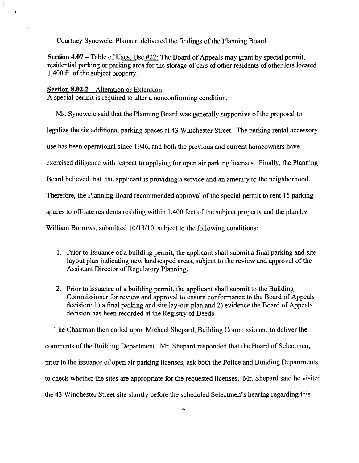Courtney Synoweic, Planner, delivered the findings of the Planning Board.

**Section 4.07** – Table of Uses, Use #22: The Board of Appeals may grant by special permit, residential parking or parking area for the storage of cars of other residents of other lots located 1,400 ft. of the subject property.

#### **Section 8.02.2 – Alteration or Extension**

 $\hat{z}$ 

l.

A special permit is required to alter a nonconforming condition.

Ms. Synoweic said that the Planning Board was generally supportive of the proposal to legalize the six additional parking spaces at 43 Winchester Street. The parking rental accessory use has been operational since 1946, and both the previous and current homeowners have exercised diligence with respect to applying for open air parking licenses. Finally, the Planning Board believed that the applicant is providing a service and an amenity to the neighborhood. Therefore, the Planning Board recommended approval of the special permit to rent 15 parking spaces to off-site residents residing within 1,400 feet of the subject property and the plan by William Burrows, submitted 10/13/10, subject to the following conditions:

- 1. Prior to issuance of a building permit, the applicant shall submit a final parking and site layout plan indicating new landscaped areas, subject to the review and approval of the Assistant Director of Regulatory Planning.
- 2. Prior to issuance of a building permit, the applicant shall submit to the Building Commissioner for review and approval to ensure conformance to the Board of Appeals decision: 1) a final parking and site lay-out plan and 2) evidence the Board of Appeals decision has been recorded at the Registry of Deeds.

The Chairman then called upon Michael Shepard, Building Commissioner, to deliver the comments of the Building Department. Mr. Shepard responded that the Board of Selectmen, prior to the issuance of open air parking licenses, ask both the Police and Building Departments to check whether the sites are appropriate for the requested licenses. Mr. Shepard said he visited the 43 Winchester Street site shortly before the scheduled Selectmen's hearing regarding this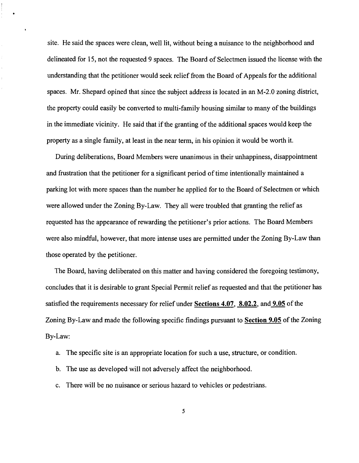site. He said the spaces were clean, well lit, without being a nuisance to the neighborhood and delineated for 15, not the requested 9 spaces. The Board of Selectmen issued the license with the understanding that the petitioner would seek relief from the Board of Appeals for the additional spaces. Mr. Shepard opined that since the subject address is located in an M-2.0 zoning district, the property could easily be converted to multi-family housing similar to many of the buildings in the immediate vicinity. He said that if the granting of the additional spaces would keep the property as a single family, at least in the near term, in his opinion it would be worth it.

During deliberations, Board Members were unanimous in their unhappiness, disappointment and frustration that the petitioner for a significant period of time intentionally maintained a parking lot with more spaces than the number he applied for to the Board of Selectmen or which were allowed under the Zoning By-Law. They all were troubled that granting the relief as requested has the appearance of rewarding the petitioner's prior actions. The Board Members were also mindful, however, that more intense uses are permitted under the Zoning By-Law than those operated by the petitioner.

The Board, having deliberated on this matter and having considered the foregoing testimony, concludes that it is desirable to grant Special Permit relief as requested and that the petitioner has satisfied the requirements necessary for relief under Sections 4.07, 8.02.2, and 9.05 of the Zoning By-Law and made the following specific findings pursuant to Section 9.05 of the Zoning By-Law:

- a. The specific site is an appropriate location for such a use, structure, or condition.
- b. The use as developed will not adversely affect the neighborhood.
- c. There will be no nuisance or serious hazard to vehicles or pedestrians.